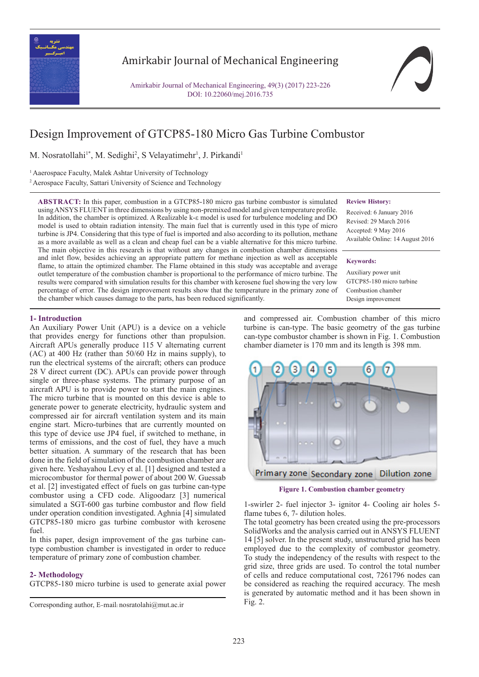

## Amirkabir Journal of Mechanical Engineering

Amirkabir Journal of Mechanical Engineering, 49(3) (2017) 223-226 DOI: 10.22060/mej.2016.735

# Design Improvement of GTCP85-180 Micro Gas Turbine Combustor

M. Nosratollahi<sup>1\*</sup>, M. Sedighi<sup>2</sup>, S Velayatimehr<sup>1</sup>, J. Pirkandi<sup>1</sup>

<sup>1</sup> Aaerospace Faculty, Malek Ashtar University of Technology

<sup>2</sup> Aerospace Faculty, Sattari University of Science and Technology

**ABSTRACT:** In this paper, combustion in a GTCP85-180 micro gas turbine combustor is simulated using ANSYS FLUENT in three dimensions by using non-premixed model and given temperature profile. In addition, the chamber is optimized. A Realizable k-ε model is used for turbulence modeling and DO model is used to obtain radiation intensity. The main fuel that is currently used in this type of micro turbine is JP4. Considering that this type of fuel is imported and also according to its pollution, methane as a more available as well as a clean and cheap fuel can be a viable alternative for this micro turbine. The main objective in this research is that without any changes in combustion chamber dimensions and inlet flow, besides achieving an appropriate pattern for methane injection as well as acceptable flame, to attain the optimized chamber. The Flame obtained in this study was acceptable and average outlet temperature of the combustion chamber is proportional to the performance of micro turbine. The results were compared with simulation results for this chamber with kerosene fuel showing the very low percentage of error. The design improvement results show that the temperature in the primary zone of the chamber which causes damage to the parts, has been reduced significantly.

#### **Review History:**

Received: 6 January 2016 Revised: 29 March 2016 Accepted: 9 May 2016 Available Online: 14 August 2016

**Keywords:**

Auxiliary power unit GTCP85-180 micro turbine Combustion chamber Design improvement

## **1- Introduction**

An Auxiliary Power Unit (APU) is a device on a vehicle that provides energy for functions other than propulsion. Aircraft APUs generally produce 115 V alternating current (AC) at 400 Hz (rather than 50/60 Hz in mains supply), to run the electrical systems of the aircraft; others can produce 28 V direct current (DC). APUs can provide power through single or three-phase systems. The primary purpose of an aircraft APU is to provide power to start the main engines. The micro turbine that is mounted on this device is able to generate power to generate electricity, hydraulic system and compressed air for aircraft ventilation system and its main engine start. Micro-turbines that are currently mounted on this type of device use JP4 fuel, if switched to methane, in terms of emissions, and the cost of fuel, they have a much better situation. A summary of the research that has been done in the field of simulation of the combustion chamber are given here. Yeshayahou Levy et al. [1] designed and tested a microcombustor for thermal power of about 200 W. Guessab et al. [2] investigated effect of fuels on gas turbine can-type combustor using a CFD code. Aligoodarz [3] numerical simulated a SGT-600 gas turbine combustor and flow field under operation condition investigated. Aghnia [4] simulated GTCP85-180 micro gas turbine combustor with kerosene fuel.

In this paper, design improvement of the gas turbine cantype combustion chamber is investigated in order to reduce temperature of primary zone of combustion chamber.

#### **2- Methodology**

GTCP85-180 micro turbine is used to generate axial power

Fig. 2. Corresponding author, E-mail: nosratolahi@mut.ac.ir

and compressed air. Combustion chamber of this micro turbine is can-type. The basic geometry of the gas turbine can-type combustor chamber is shown in Fig. 1. Combustion chamber diameter is 170 mm and its length is 398 mm.



**Figure 1. Combustion chamber geometry**

1-swirler 2- fuel injector 3- ignitor 4- Cooling air holes 5 flame tubes 6, 7- dilution holes.

The total geometry has been created using the pre-processors SolidWorks and the analysis carried out in ANSYS FLUENT 14 [5] solver. In the present study, unstructured grid has been employed due to the complexity of combustor geometry. To study the independency of the results with respect to the grid size, three grids are used. To control the total number of cells and reduce computational cost, 7261796 nodes can be considered as reaching the required accuracy. The mesh is generated by automatic method and it has been shown in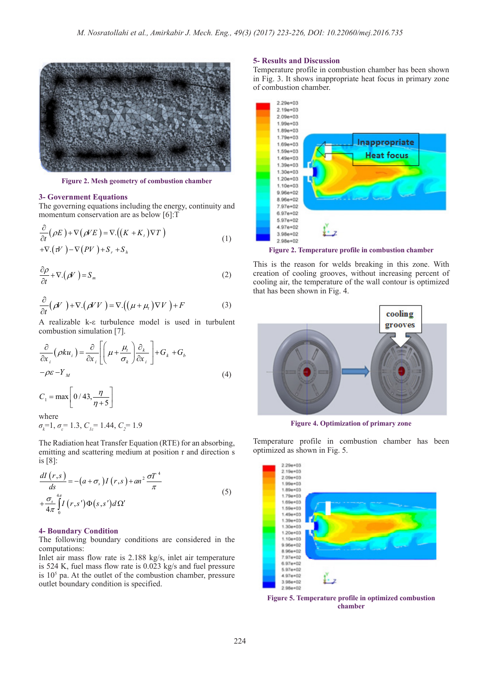

**Figure 2. Mesh geometry of combustion chamber**

#### **3- Government Equations**

The governing equations including the energy, continuity and momentum conservation are as below [6]:T

$$
\frac{\partial}{\partial t}(\rho E) + \nabla(\rho VE) = \nabla \cdot ((K + K_t) \nabla T)
$$
\n
$$
+ \nabla \cdot (\tau V) - \nabla (PV) + S_r + S_h
$$
\n(1)

$$
\frac{\partial \rho}{\partial t} + \nabla \cdot (\rho V) = S_m \tag{2}
$$

$$
\frac{\partial}{\partial t}(\rho V) + \nabla \cdot (\rho V V) = \nabla \cdot ((\mu + \mu_t) \nabla V) + F \tag{3}
$$

A realizable k-ε turbulence model is used in turbulent combustion simulation [7].

$$
\frac{\partial}{\partial x_i} (\rho k u_i) = \frac{\partial}{\partial x_i} \left[ \left( \mu + \frac{\mu_i}{\sigma_k} \right) \frac{\partial_k}{\partial x_i} \right] + G_k + G_b
$$
\n
$$
-\rho \varepsilon - Y_M \tag{4}
$$

$$
C_1 = \max \left[ \frac{0}{43}, \frac{\eta}{\eta + 5} \right]
$$
  
where

*σ*<sub>*k*</sub><sup>=1</sup>, *σ*<sub>*ε*</sub>=1.3, *C<sub><i>iε*</sub>=1.44, *C<sub>2</sub>*=1.9

The Radiation heat Transfer Equation (RTE) for an absorbing, emitting and scattering medium at position r and direction s is [8]:

$$
\frac{dI(r,s)}{ds} = -(a+\sigma_s)I(r,s) + an^2 \frac{\sigma T^4}{\pi}
$$
  
+
$$
\frac{\sigma_s}{4\pi} \int_0^{4\pi} I(r,s') \Phi(s,s') d\Omega'
$$
 (5)

## **4- Boundary Condition**

The following boundary conditions are considered in the computations:

Inlet air mass flow rate is 2.188 kg/s, inlet air temperature is 524 K, fuel mass flow rate is 0.023 kg/s and fuel pressure is  $10<sup>5</sup>$  pa. At the outlet of the combustion chamber, pressure outlet boundary condition is specified.

### **5- Results and Discussion**

Temperature profile in combustion chamber has been shown in Fig. 3. It shows inappropriate heat focus in primary zone of combustion chamber.



**Figure 2. Temperature profile in combustion chamber**

This is the reason for welds breaking in this zone. With creation of cooling grooves, without increasing percent of cooling air, the temperature of the wall contour is optimized that has been shown in Fig. 4.



**Figure 4. Optimization of primary zone**

Temperature profile in combustion chamber has been optimized as shown in Fig. 5.



**Figure 5. Temperature profile in optimized combustion chamber**